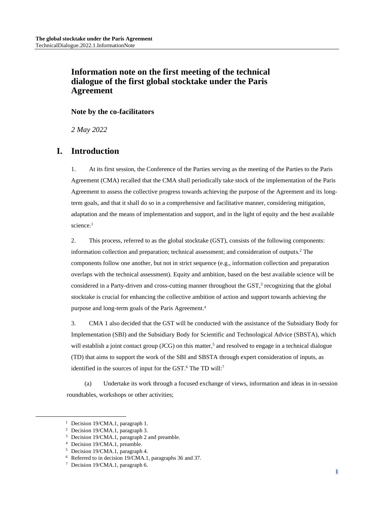## **Information note on the first meeting of the technical dialogue of the first global stocktake under the Paris Agreement**

#### **Note by the co-facilitators**

*2 May 2022*

## **I. Introduction**

1. At its first session, the Conference of the Parties serving as the meeting of the Parties to the Paris Agreement (CMA) recalled that the CMA shall periodically take stock of the implementation of the Paris Agreement to assess the collective progress towards achieving the purpose of the Agreement and its longterm goals, and that it shall do so in a comprehensive and facilitative manner, considering mitigation, adaptation and the means of implementation and support, and in the light of equity and the best available science. 1

2. This process, referred to as the global stocktake (GST), consists of the following components: information collection and preparation; technical assessment; and consideration of outputs.<sup>2</sup> The components follow one another, but not in strict sequence (e.g., information collection and preparation overlaps with the technical assessment). Equity and ambition, based on the best available science will be considered in a Party-driven and cross-cutting manner throughout the GST,<sup>3</sup> recognizing that the global stocktake is crucial for enhancing the collective ambition of action and support towards achieving the purpose and long-term goals of the Paris Agreement. 4

3. CMA 1 also decided that the GST will be conducted with the assistance of the Subsidiary Body for Implementation (SBI) and the Subsidiary Body for Scientific and Technological Advice (SBSTA), which will establish a joint contact group (JCG) on this matter,<sup>5</sup> and resolved to engage in a technical dialogue (TD) that aims to support the work of the SBI and SBSTA through expert consideration of inputs, as identified in the sources of input for the GST.<sup>6</sup> The TD will:<sup>7</sup>

(a) Undertake its work through a focused exchange of views, information and ideas in in-session roundtables, workshops or other activities;

<sup>&</sup>lt;sup>1</sup> Decision 19/CMA.1, paragraph 1.

<sup>2</sup> Decision 19/CMA.1, paragraph 3.

<sup>&</sup>lt;sup>3</sup> Decision 19/CMA.1, paragraph 2 and preamble.

<sup>4</sup> Decision 19/CMA.1, preamble.

<sup>5</sup> Decision 19/CMA.1, paragraph 4.

<sup>6</sup> Referred to in decision 19/CMA.1, paragraphs 36 and 37.

<sup>7</sup> Decision 19/CMA.1, paragraph 6.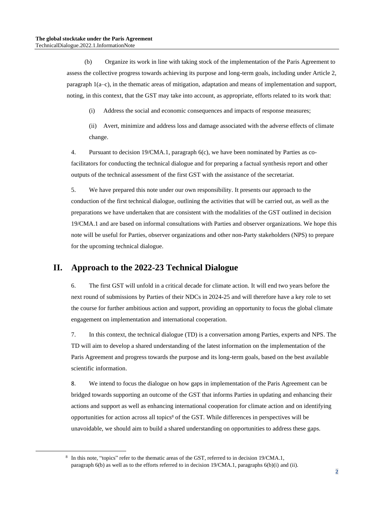(b) Organize its work in line with taking stock of the implementation of the Paris Agreement to assess the collective progress towards achieving its purpose and long-term goals, including under Article 2, paragraph 1(a–c), in the thematic areas of mitigation, adaptation and means of implementation and support, noting, in this context, that the GST may take into account, as appropriate, efforts related to its work that:

- (i) Address the social and economic consequences and impacts of response measures;
- (ii) Avert, minimize and address loss and damage associated with the adverse effects of climate change.

4. Pursuant to decision 19/CMA.1, paragraph 6(c), we have been nominated by Parties as cofacilitators for conducting the technical dialogue and for preparing a factual synthesis report and other outputs of the technical assessment of the first GST with the assistance of the secretariat.

5. We have prepared this note under our own responsibility. It presents our approach to the conduction of the first technical dialogue, outlining the activities that will be carried out, as well as the preparations we have undertaken that are consistent with the modalities of the GST outlined in decision 19/CMA.1 and are based on informal consultations with Parties and observer organizations. We hope this note will be useful for Parties, observer organizations and other non-Party stakeholders (NPS) to prepare for the upcoming technical dialogue.

## **II. Approach to the 2022-23 Technical Dialogue**

6. The first GST will unfold in a critical decade for climate action. It will end two years before the next round of submissions by Parties of their NDCs in 2024-25 and will therefore have a key role to set the course for further ambitious action and support, providing an opportunity to focus the global climate engagement on implementation and international cooperation.

7. In this context, the technical dialogue (TD) is a conversation among Parties, experts and NPS. The TD will aim to develop a shared understanding of the latest information on the implementation of the Paris Agreement and progress towards the purpose and its long-term goals, based on the best available scientific information.

8. We intend to focus the dialogue on how gaps in implementation of the Paris Agreement can be bridged towards supporting an outcome of the GST that informs Parties in updating and enhancing their actions and support as well as enhancing international cooperation for climate action and on identifying opportunities for action across all topics<sup>8</sup> of the GST. While differences in perspectives will be unavoidable, we should aim to build a shared understanding on opportunities to address these gaps.

<sup>&</sup>lt;sup>8</sup> In this note, "topics" refer to the thematic areas of the GST, referred to in decision 19/CMA.1, paragraph 6(b) as well as to the efforts referred to in decision 19/CMA.1, paragraphs 6(b)(i) and (ii).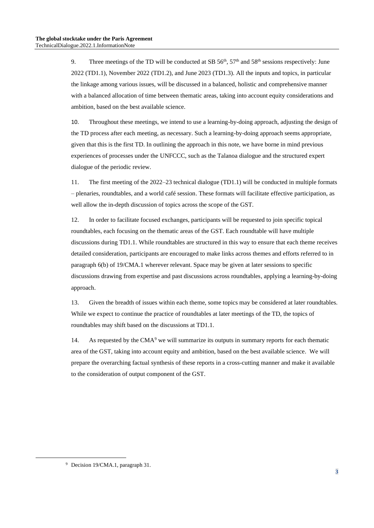9. Three meetings of the TD will be conducted at SB  $56<sup>th</sup>$ ,  $57<sup>th</sup>$  and  $58<sup>th</sup>$  sessions respectively: June 2022 (TD1.1), November 2022 (TD1.2), and June 2023 (TD1.3). All the inputs and topics, in particular the linkage among various issues, will be discussed in a balanced, holistic and comprehensive manner with a balanced allocation of time between thematic areas, taking into account equity considerations and ambition, based on the best available science.

10. Throughout these meetings, we intend to use a learning-by-doing approach, adjusting the design of the TD process after each meeting, as necessary. Such a learning-by-doing approach seems appropriate, given that this is the first TD. In outlining the approach in this note, we have borne in mind previous experiences of processes under the UNFCCC, such as the Talanoa dialogue and the structured expert dialogue of the periodic review.

11. The first meeting of the 2022–23 technical dialogue (TD1.1) will be conducted in multiple formats – plenaries, roundtables, and a world café session. These formats will facilitate effective participation, as well allow the in-depth discussion of topics across the scope of the GST.

12. In order to facilitate focused exchanges, participants will be requested to join specific topical roundtables, each focusing on the thematic areas of the GST. Each roundtable will have multiple discussions during TD1.1. While roundtables are structured in this way to ensure that each theme receives detailed consideration, participants are encouraged to make links across themes and efforts referred to in paragraph 6(b) of 19/CMA.1 wherever relevant. Space may be given at later sessions to specific discussions drawing from expertise and past discussions across roundtables, applying a learning-by-doing approach.

13. Given the breadth of issues within each theme, some topics may be considered at later roundtables. While we expect to continue the practice of roundtables at later meetings of the TD, the topics of roundtables may shift based on the discussions at TD1.1.

14. As requested by the  $CMA<sup>9</sup>$  we will summarize its outputs in summary reports for each thematic area of the GST, taking into account equity and ambition, based on the best available science. We will prepare the overarching factual synthesis of these reports in a cross-cutting manner and make it available to the consideration of output component of the GST.

<sup>9</sup> Decision 19/CMA.1, paragraph 31.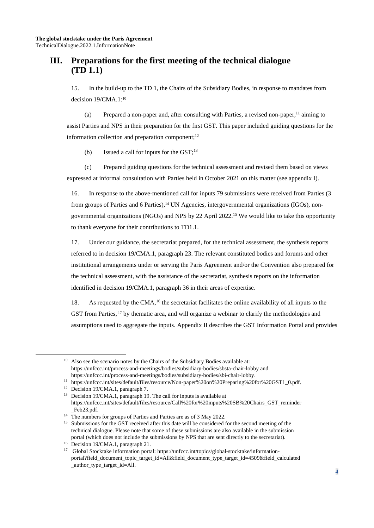## **III. Preparations for the first meeting of the technical dialogue (TD 1.1)**

15. In the build-up to the TD 1, the Chairs of the Subsidiary Bodies, in response to mandates from decision 19/CMA.1:<sup>10</sup>

(a) Prepared a non-paper and, after consulting with Parties, a revised non-paper, <sup>11</sup> aiming to assist Parties and NPS in their preparation for the first GST. This paper included guiding questions for the information collection and preparation component;<sup>12</sup>

(b) Issued a call for inputs for the GST;<sup>13</sup>

(c) Prepared guiding questions for the technical assessment and revised them based on views expressed at informal consultation with Parties held in October 2021 on this matter (see appendix I).

16. In response to the above-mentioned call for inputs 79 submissions were received from Parties (3 from groups of Parties and 6 Parties),<sup>14</sup> UN Agencies, intergovernmental organizations (IGOs), nongovernmental organizations (NGOs) and NPS by 22 April 2022. <sup>15</sup> We would like to take this opportunity to thank everyone for their contributions to TD1.1.

17. Under our guidance, the secretariat prepared, for the technical assessment, the synthesis reports referred to in decision 19/CMA.1, paragraph 23. The relevant constituted bodies and forums and other institutional arrangements under or serving the Paris Agreement and/or the Convention also prepared for the technical assessment, with the assistance of the secretariat, synthesis reports on the information identified in decision 19/CMA.1, paragraph 36 in their areas of expertise.

18. As requested by the CMA,<sup>16</sup> the secretariat facilitates the online availability of all inputs to the GST from Parties, <sup>17</sup> by thematic area, and will organize a webinar to clarify the methodologies and assumptions used to aggregate the inputs. Appendix II describes the GST Information Portal and provides

 $10$  Also see the scenario notes by the Chairs of the Subsidiary Bodies available at: https://unfccc.int/process-and-meetings/bodies/subsidiary-bodies/sbsta-chair-lobby and https://unfccc.int/process-and-meetings/bodies/subsidiary-bodies/sbi-chair-lobby.

<sup>11</sup> https://unfccc.int/sites/default/files/resource/Non-paper%20on%20Preparing%20for%20GST1\_0.pdf.

<sup>&</sup>lt;sup>12</sup> Decision 19/CMA.1, paragraph 7.

<sup>13</sup> Decision 19/CMA.1, paragraph 19. The call for inputs is available at https://unfccc.int/sites/default/files/resource/Call%20for%20inputs%20SB%20Chairs\_GST\_reminder Feb23.pdf.

<sup>&</sup>lt;sup>14</sup> The numbers for groups of Parties and Parties are as of 3 May 2022.

<sup>&</sup>lt;sup>15</sup> Submissions for the GST received after this date will be considered for the second meeting of the technical dialogue. Please note that some of these submissions are also available in the submission portal (which does not include the submissions by NPS that are sent directly to the secretariat).

<sup>&</sup>lt;sup>16</sup> Decision 19/CMA.1, paragraph 21.

<sup>17</sup> Global Stocktake information portal: https://unfccc.int/topics/global-stocktake/informationportal?field\_document\_topic\_target\_id=All&field\_document\_type\_target\_id=4509&field\_calculated \_author\_type\_target\_id=All.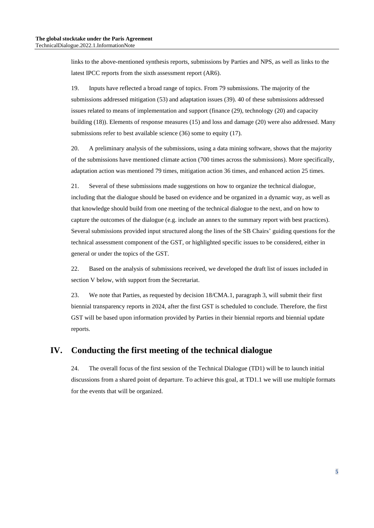links to the above-mentioned synthesis reports, submissions by Parties and NPS, as well as links to the latest IPCC reports from the sixth assessment report (AR6).

19. Inputs have reflected a broad range of topics. From 79 submissions. The majority of the submissions addressed mitigation (53) and adaptation issues (39). 40 of these submissions addressed issues related to means of implementation and support (finance (29), technology (20) and capacity building (18)). Elements of response measures (15) and loss and damage (20) were also addressed. Many submissions refer to best available science (36) some to equity (17).

20. A preliminary analysis of the submissions, using a data mining software, shows that the majority of the submissions have mentioned climate action (700 times across the submissions). More specifically, adaptation action was mentioned 79 times, mitigation action 36 times, and enhanced action 25 times.

21. Several of these submissions made suggestions on how to organize the technical dialogue, including that the dialogue should be based on evidence and be organized in a dynamic way, as well as that knowledge should build from one meeting of the technical dialogue to the next, and on how to capture the outcomes of the dialogue (e.g. include an annex to the summary report with best practices). Several submissions provided input structured along the lines of the SB Chairs' guiding questions for the technical assessment component of the GST, or highlighted specific issues to be considered, either in general or under the topics of the GST.

22. Based on the analysis of submissions received, we developed the draft list of issues included in section V below, with support from the Secretariat.

23. We note that Parties, as requested by decision 18/CMA.1, paragraph 3, will submit their first biennial transparency reports in 2024, after the first GST is scheduled to conclude. Therefore, the first GST will be based upon information provided by Parties in their biennial reports and biennial update reports.

## **IV. Conducting the first meeting of the technical dialogue**

24. The overall focus of the first session of the Technical Dialogue (TD1) will be to launch initial discussions from a shared point of departure. To achieve this goal, at TD1.1 we will use multiple formats for the events that will be organized.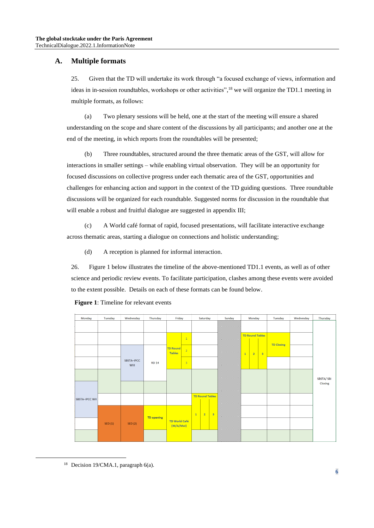### **A. Multiple formats**

25. Given that the TD will undertake its work through "a focused exchange of views, information and ideas in in-session roundtables, workshops or other activities",<sup>18</sup> we will organize the TD1.1 meeting in multiple formats, as follows:

(a) Two plenary sessions will be held, one at the start of the meeting will ensure a shared understanding on the scope and share content of the discussions by all participants; and another one at the end of the meeting, in which reports from the roundtables will be presented;

(b) Three roundtables, structured around the three thematic areas of the GST, will allow for interactions in smaller settings – while enabling virtual observation. They will be an opportunity for focused discussions on collective progress under each thematic area of the GST, opportunities and challenges for enhancing action and support in the context of the TD guiding questions. Three roundtable discussions will be organized for each roundtable. Suggested norms for discussion in the roundtable that will enable a robust and fruitful dialogue are suggested in appendix III;

(c) A World café format of rapid, focused presentations, will facilitate interactive exchange across thematic areas, starting a dialogue on connections and holistic understanding;

(d) A reception is planned for informal interaction.

26. Figure 1 below illustrates the timeline of the above-mentioned TD1.1 events, as well as of other science and periodic review events. To facilitate participation, clashes among these events were avoided to the extent possible. Details on each of these formats can be found below.



**Figure 1**: Timeline for relevant events

<sup>&</sup>lt;sup>18</sup> Decision 19/CMA.1, paragraph  $6(a)$ .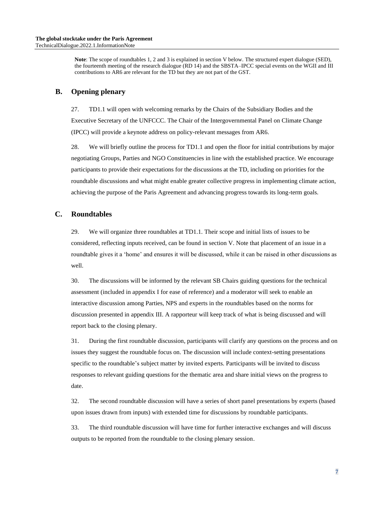**Note**: The scope of roundtables 1, 2 and 3 is explained in section V below. The structured expert dialogue (SED), the fourteenth meeting of the research dialogue (RD 14) and the SBSTA–IPCC special events on the WGII and III contributions to AR6 are relevant for the TD but they are not part of the GST.

## **B. Opening plenary**

27. TD1.1 will open with welcoming remarks by the Chairs of the Subsidiary Bodies and the Executive Secretary of the UNFCCC. The Chair of the Intergovernmental Panel on Climate Change (IPCC) will provide a keynote address on policy-relevant messages from AR6.

28. We will briefly outline the process for TD1.1 and open the floor for initial contributions by major negotiating Groups, Parties and NGO Constituencies in line with the established practice. We encourage participants to provide their expectations for the discussions at the TD, including on priorities for the roundtable discussions and what might enable greater collective progress in implementing climate action, achieving the purpose of the Paris Agreement and advancing progress towards its long-term goals.

### **C. Roundtables**

29. We will organize three roundtables at TD1.1. Their scope and initial lists of issues to be considered, reflecting inputs received, can be found in section V. Note that placement of an issue in a roundtable gives it a 'home' and ensures it will be discussed, while it can be raised in other discussions as well.

30. The discussions will be informed by the relevant SB Chairs guiding questions for the technical assessment (included in appendix I for ease of reference) and a moderator will seek to enable an interactive discussion among Parties, NPS and experts in the roundtables based on the norms for discussion presented in appendix III. A rapporteur will keep track of what is being discussed and will report back to the closing plenary.

31. During the first roundtable discussion, participants will clarify any questions on the process and on issues they suggest the roundtable focus on. The discussion will include context-setting presentations specific to the roundtable's subject matter by invited experts. Participants will be invited to discuss responses to relevant guiding questions for the thematic area and share initial views on the progress to date.

32. The second roundtable discussion will have a series of short panel presentations by experts (based upon issues drawn from inputs) with extended time for discussions by roundtable participants.

33. The third roundtable discussion will have time for further interactive exchanges and will discuss outputs to be reported from the roundtable to the closing plenary session.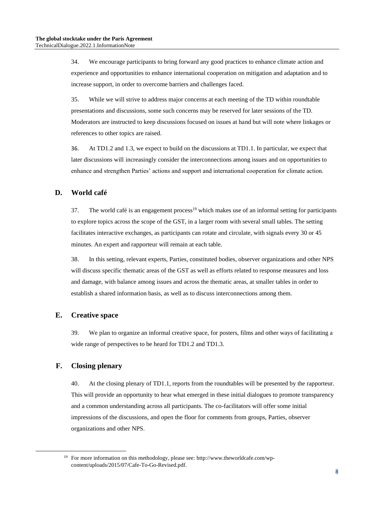34. We encourage participants to bring forward any good practices to enhance climate action and experience and opportunities to enhance international cooperation on mitigation and adaptation and to increase support, in order to overcome barriers and challenges faced.

35. While we will strive to address major concerns at each meeting of the TD within roundtable presentations and discussions, some such concerns may be reserved for later sessions of the TD. Moderators are instructed to keep discussions focused on issues at hand but will note where linkages or references to other topics are raised.

36. At TD1.2 and 1.3, we expect to build on the discussions at TD1.1. In particular, we expect that later discussions will increasingly consider the interconnections among issues and on opportunities to enhance and strengthen Parties' actions and support and international cooperation for climate action.

## **D. World café**

37. The world café is an engagement process<sup>19</sup> which makes use of an informal setting for participants to explore topics across the scope of the GST, in a larger room with several small tables. The setting facilitates interactive exchanges, as participants can rotate and circulate, with signals every 30 or 45 minutes. An expert and rapporteur will remain at each table.

38. In this setting, relevant experts, Parties, constituted bodies, observer organizations and other NPS will discuss specific thematic areas of the GST as well as efforts related to response measures and loss and damage, with balance among issues and across the thematic areas, at smaller tables in order to establish a shared information basis, as well as to discuss interconnections among them.

## **E. Creative space**

39. We plan to organize an informal creative space, for posters, films and other ways of facilitating a wide range of perspectives to be heard for TD1.2 and TD1.3.

## **F. Closing plenary**

40. At the closing plenary of TD1.1, reports from the roundtables will be presented by the rapporteur. This will provide an opportunity to hear what emerged in these initial dialogues to promote transparency and a common understanding across all participants. The co-facilitators will offer some initial impressions of the discussions, and open the floor for comments from groups, Parties, observer organizations and other NPS.

<sup>19</sup> For more information on this methodology, please see: http://www.theworldcafe.com/wpcontent/uploads/2015/07/Cafe-To-Go-Revised.pdf.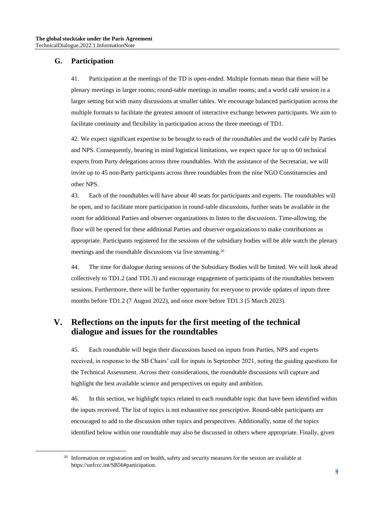### **G. Participation**

41. Participation at the meetings of the TD is open-ended. Multiple formats mean that there will be plenary meetings in larger rooms; round-table meetings in smaller rooms; and a world café session in a larger setting but with many discussions at smaller tables. We encourage balanced participation across the multiple formats to facilitate the greatest amount of interactive exchange between participants. We aim to facilitate continuity and flexibility in participation across the three meetings of TD1.

42. We expect significant expertise to be brought to each of the roundtables and the world café by Parties and NPS. Consequently, bearing in mind logistical limitations, we expect space for up to 60 technical experts from Party delegations across three roundtables. With the assistance of the Secretariat, we will invite up to 45 non-Party participants across three roundtables from the nine NGO Constituencies and other NPS.

43. Each of the roundtables will have about 40 seats for participants and experts. The roundtables will be open, and to facilitate more participation in round-table discussions, further seats be available in the room for additional Parties and observer organizations to listen to the discussions. Time-allowing, the floor will be opened for these additional Parties and observer organizations to make contributions as appropriate. Participants registered for the sessions of the subsidiary bodies will be able watch the plenary meetings and the roundtable discussions via live streaming.<sup>20</sup>

44. The time for dialogue during sessions of the Subsidiary Bodies will be limited. We will look ahead collectively to TD1.2 (and TD1.3) and encourage engagement of participants of the roundtables between sessions. Furthermore, there will be further opportunity for everyone to provide updates of inputs three months before TD1.2 (7 August 2022), and once more before TD1.3 (5 March 2023).

## **V. Reflections on the inputs for the first meeting of the technical dialogue and issues for the roundtables**

45. Each roundtable will begin their discussions based on inputs from Parties, NPS and experts received, in response to the SB Chairs' call for inputs in September 2021, noting the guiding questions for the Technical Assessment. Across their considerations, the roundtable discussions will capture and highlight the best available science and perspectives on equity and ambition.

46. In this section, we highlight topics related to each roundtable topic that have been identified within the inputs received. The list of topics is not exhaustive nor prescriptive. Round-table participants are encouraged to add to the discussion other topics and perspectives. Additionally, some of the topics identified below within one roundtable may also be discussed in others where appropriate. Finally, given

<sup>&</sup>lt;sup>20</sup> Information on registration and on health, safety and security measures for the session are available at https://unfccc.int/SB56#participation.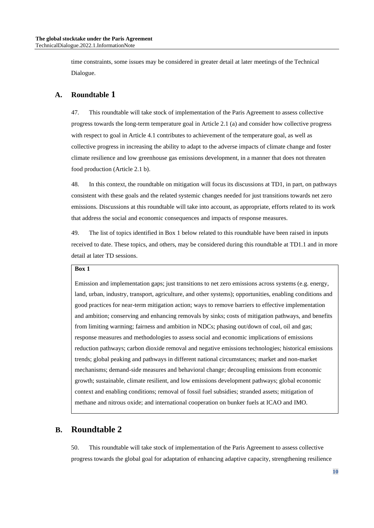time constraints, some issues may be considered in greater detail at later meetings of the Technical Dialogue.

### **A. Roundtable 1**

47. This roundtable will take stock of implementation of the Paris Agreement to assess collective progress towards the long-term temperature goal in Article 2.1 (a) and consider how collective progress with respect to goal in Article 4.1 contributes to achievement of the temperature goal, as well as collective progress in increasing the ability to adapt to the adverse impacts of climate change and foster climate resilience and low greenhouse gas emissions development, in a manner that does not threaten food production (Article 2.1 b).

48. In this context, the roundtable on mitigation will focus its discussions at TD1, in part, on pathways consistent with these goals and the related systemic changes needed for just transitions towards net zero emissions. Discussions at this roundtable will take into account, as appropriate, efforts related to its work that address the social and economic consequences and impacts of response measures.

49. The list of topics identified in Box 1 below related to this roundtable have been raised in inputs received to date. These topics, and others, may be considered during this roundtable at TD1.1 and in more detail at later TD sessions.

#### **Box 1**

Emission and implementation gaps; just transitions to net zero emissions across systems (e.g. energy, land, urban, industry, transport, agriculture, and other systems); opportunities, enabling conditions and good practices for near-term mitigation action; ways to remove barriers to effective implementation and ambition; conserving and enhancing removals by sinks; costs of mitigation pathways, and benefits from limiting warming; fairness and ambition in NDCs; phasing out/down of coal, oil and gas; response measures and methodologies to assess social and economic implications of emissions reduction pathways; carbon dioxide removal and negative emissions technologies; historical emissions trends; global peaking and pathways in different national circumstances; market and non-market mechanisms; demand-side measures and behavioral change; decoupling emissions from economic growth; sustainable, climate resilient, and low emissions development pathways; global economic context and enabling conditions; removal of fossil fuel subsidies; stranded assets; mitigation of methane and nitrous oxide; and international cooperation on bunker fuels at ICAO and IMO.

## **B. Roundtable 2**

50. This roundtable will take stock of implementation of the Paris Agreement to assess collective progress towards the global goal for adaptation of enhancing adaptive capacity, strengthening resilience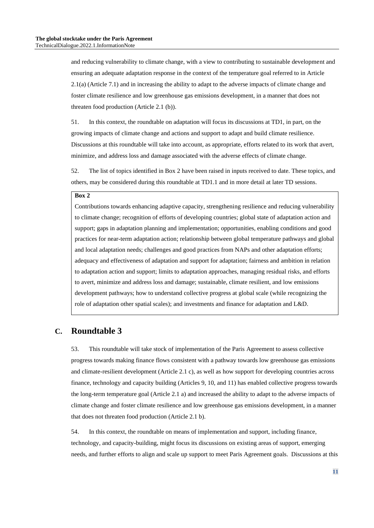and reducing vulnerability to climate change, with a view to contributing to sustainable development and ensuring an adequate adaptation response in the context of the temperature goal referred to in Article 2.1(a) (Article 7.1) and in increasing the ability to adapt to the adverse impacts of climate change and foster climate resilience and low greenhouse gas emissions development, in a manner that does not threaten food production (Article 2.1 (b)).

51. In this context, the roundtable on adaptation will focus its discussions at TD1, in part, on the growing impacts of climate change and actions and support to adapt and build climate resilience. Discussions at this roundtable will take into account, as appropriate, efforts related to its work that avert, minimize, and address loss and damage associated with the adverse effects of climate change.

52. The list of topics identified in Box 2 have been raised in inputs received to date. These topics, and others, may be considered during this roundtable at TD1.1 and in more detail at later TD sessions.

#### **Box 2**

Contributions towards enhancing adaptive capacity, strengthening resilience and reducing vulnerability to climate change; recognition of efforts of developing countries; global state of adaptation action and support; gaps in adaptation planning and implementation; opportunities, enabling conditions and good practices for near-term adaptation action; relationship between global temperature pathways and global and local adaptation needs; challenges and good practices from NAPs and other adaptation efforts; adequacy and effectiveness of adaptation and support for adaptation; fairness and ambition in relation to adaptation action and support; limits to adaptation approaches, managing residual risks, and efforts to avert, minimize and address loss and damage; sustainable, climate resilient, and low emissions development pathways; how to understand collective progress at global scale (while recognizing the role of adaptation other spatial scales); and investments and finance for adaptation and L&D.

## **C. Roundtable 3**

53. This roundtable will take stock of implementation of the Paris Agreement to assess collective progress towards making finance flows consistent with a pathway towards low greenhouse gas emissions and climate-resilient development (Article 2.1 c), as well as how support for developing countries across finance, technology and capacity building (Articles 9, 10, and 11) has enabled collective progress towards the long-term temperature goal (Article 2.1 a) and increased the ability to adapt to the adverse impacts of climate change and foster climate resilience and low greenhouse gas emissions development, in a manner that does not threaten food production (Article 2.1 b).

54. In this context, the roundtable on means of implementation and support, including finance, technology, and capacity-building, might focus its discussions on existing areas of support, emerging needs, and further efforts to align and scale up support to meet Paris Agreement goals. Discussions at this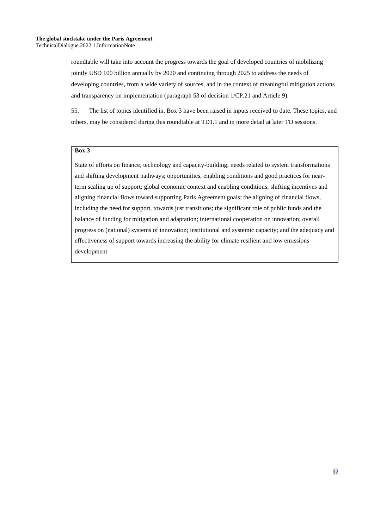roundtable will take into account the progress towards the goal of developed countries of mobilizing jointly USD 100 billion annually by 2020 and continuing through 2025 to address the needs of developing countries, from a wide variety of sources, and in the context of meaningful mitigation actions and transparency on implementation (paragraph 53 of decision 1/CP.21 and Article 9).

55. The list of topics identified in. Box 3 have been raised in inputs received to date. These topics, and others, may be considered during this roundtable at TD1.1 and in more detail at later TD sessions.

#### **Box 3**

State of efforts on finance, technology and capacity-building; needs related to system transformations and shifting development pathways; opportunities, enabling conditions and good practices for nearterm scaling up of support; global economic context and enabling conditions; shifting incentives and aligning financial flows toward supporting Paris Agreement goals; the aligning of financial flows, including the need for support, towards just transitions; the significant role of public funds and the balance of funding for mitigation and adaptation; international cooperation on innovation; overall progress on (national) systems of innovation; institutional and systemic capacity; and the adequacy and effectiveness of support towards increasing the ability for climate resilient and low emissions development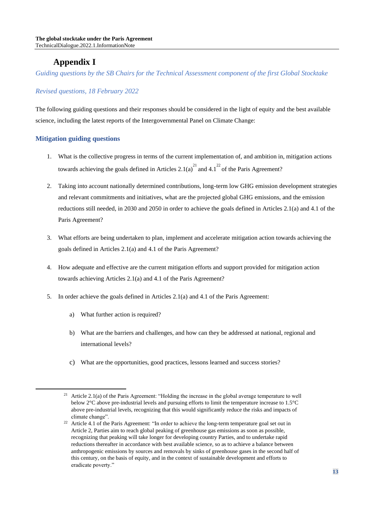# **Appendix I**

*Guiding questions by the SB Chairs for the Technical Assessment component of the first Global Stocktake*

## *Revised questions, 18 February 2022*

The following guiding questions and their responses should be considered in the light of equity and the best available science, including the latest reports of the Intergovernmental Panel on Climate Change:

### **Mitigation guiding questions**

- 1. What is the collective progress in terms of the current implementation of, and ambition in, mitigation actions towards achieving the goals defined in Articles 2.1(a)<sup>21</sup> and 4.1<sup>22</sup> of the Paris Agreement?
- 2. Taking into account nationally determined contributions, long-term low GHG emission development strategies and relevant commitments and initiatives, what are the projected global GHG emissions, and the emission reductions still needed, in 2030 and 2050 in order to achieve the goals defined in Articles 2.1(a) and 4.1 of the Paris Agreement?
- 3. What efforts are being undertaken to plan, implement and accelerate mitigation action towards achieving the goals defined in Articles 2.1(a) and 4.1 of the Paris Agreement?
- 4. How adequate and effective are the current mitigation efforts and support provided for mitigation action towards achieving Articles 2.1(a) and 4.1 of the Paris Agreement?
- 5. In order achieve the goals defined in Articles 2.1(a) and 4.1 of the Paris Agreement:
	- a) What further action is required?
	- b) What are the barriers and challenges, and how can they be addressed at national, regional and international levels?
	- c) What are the opportunities, good practices, lessons learned and success stories?

<sup>&</sup>lt;sup>21</sup> Article 2.1(a) of the Paris Agreement: "Holding the increase in the global average temperature to well below 2°C above pre-industrial levels and pursuing efforts to limit the temperature increase to 1.5°C above pre-industrial levels, recognizing that this would significantly reduce the risks and impacts of climate change".

<sup>&</sup>lt;sup>22</sup> Article 4.1 of the Paris Agreement: "In order to achieve the long-term temperature goal set out in Article 2, Parties aim to reach global peaking of greenhouse gas emissions as soon as possible, recognizing that peaking will take longer for developing country Parties, and to undertake rapid reductions thereafter in accordance with best available science, so as to achieve a balance between anthropogenic emissions by sources and removals by sinks of greenhouse gases in the second half of this century, on the basis of equity, and in the context of sustainable development and efforts to eradicate poverty."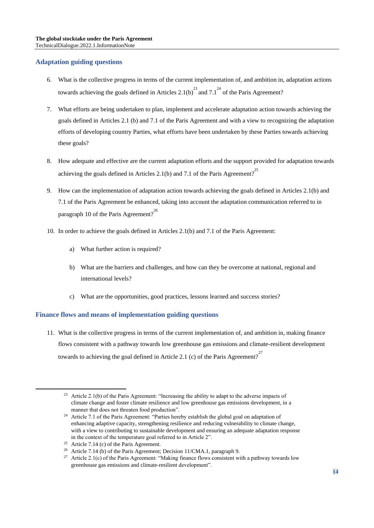#### **Adaptation guiding questions**

- 6. What is the collective progress in terms of the current implementation of, and ambition in, adaptation actions towards achieving the goals defined in Articles 2.1(b)<sup>23</sup> and 7.1<sup>24</sup> of the Paris Agreement?
- 7. What efforts are being undertaken to plan, implement and accelerate adaptation action towards achieving the goals defined in Articles 2.1 (b) and 7.1 of the Paris Agreement and with a view to recognizing the adaptation efforts of developing country Parties, what efforts have been undertaken by these Parties towards achieving these goals?
- 8. How adequate and effective are the current adaptation efforts and the support provided for adaptation towards achieving the goals defined in Articles 2.1(b) and 7.1 of the Paris Agreement?<sup>25</sup>
- 9. How can the implementation of adaptation action towards achieving the goals defined in Articles 2.1(b) and 7.1 of the Paris Agreement be enhanced, taking into account the adaptation communication referred to in paragraph 10 of the Paris Agreement?<sup>26</sup>
- 10. In order to achieve the goals defined in Articles 2.1(b) and 7.1 of the Paris Agreement:
	- a) What further action is required?
	- b) What are the barriers and challenges, and how can they be overcome at national, regional and international levels?
	- c) What are the opportunities, good practices, lessons learned and success stories?

#### **Finance flows and means of implementation guiding questions**

11. What is the collective progress in terms of the current implementation of, and ambition in, making finance flows consistent with a pathway towards low greenhouse gas emissions and climate-resilient development towards to achieving the goal defined in Article 2.1 (c) of the Paris Agreement?<sup>27</sup>

<sup>&</sup>lt;sup>23</sup> Article 2.1(b) of the Paris Agreement: "Increasing the ability to adapt to the adverse impacts of climate change and foster climate resilience and low greenhouse gas emissions development, in a manner that does not threaten food production".

<sup>&</sup>lt;sup>24</sup> Article 7.1 of the Paris Agreement: "Parties hereby establish the global goal on adaptation of enhancing adaptive capacity, strengthening resilience and reducing vulnerability to climate change, with a view to contributing to sustainable development and ensuring an adequate adaptation response in the context of the temperature goal referred to in Article 2".

<sup>&</sup>lt;sup>25</sup> Article 7.14 (c) of the Paris Agreement.

<sup>&</sup>lt;sup>26</sup> Article 7.14 (b) of the Paris Agreement; Decision 11/CMA.1, paragraph 9.

<sup>&</sup>lt;sup>27</sup> Article 2.1(c) of the Paris Agreement: "Making finance flows consistent with a pathway towards low greenhouse gas emissions and climate-resilient development".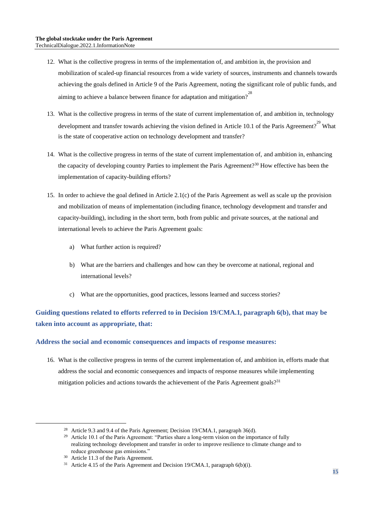- 12. What is the collective progress in terms of the implementation of, and ambition in, the provision and mobilization of scaled-up financial resources from a wide variety of sources, instruments and channels towards achieving the goals defined in Article 9 of the Paris Agreement, noting the significant role of public funds, and aiming to achieve a balance between finance for adaptation and mitigation?<sup>28</sup>
- 13. What is the collective progress in terms of the state of current implementation of, and ambition in, technology development and transfer towards achieving the vision defined in Article 10.1 of the Paris Agreement?<sup>29</sup> What is the state of cooperative action on technology development and transfer?
- 14. What is the collective progress in terms of the state of current implementation of, and ambition in, enhancing the capacity of developing country Parties to implement the Paris Agreement?<sup>30</sup> How effective has been the implementation of capacity-building efforts?
- 15. In order to achieve the goal defined in Article 2.1(c) of the Paris Agreement as well as scale up the provision and mobilization of means of implementation (including finance, technology development and transfer and capacity-building), including in the short term, both from public and private sources, at the national and international levels to achieve the Paris Agreement goals:
	- a) What further action is required?
	- b) What are the barriers and challenges and how can they be overcome at national, regional and international levels?
	- c) What are the opportunities, good practices, lessons learned and success stories?

## **Guiding questions related to efforts referred to in Decision 19/CMA.1, paragraph 6(b), that may be taken into account as appropriate, that:**

#### **Address the social and economic consequences and impacts of response measures:**

16. What is the collective progress in terms of the current implementation of, and ambition in, efforts made that address the social and economic consequences and impacts of response measures while implementing mitigation policies and actions towards the achievement of the Paris Agreement goals?<sup>31</sup>

<sup>30</sup> Article 11.3 of the Paris Agreement.

<sup>&</sup>lt;sup>28</sup> Article 9.3 and 9.4 of the Paris Agreement; Decision 19/CMA.1, paragraph 36(d).

<sup>&</sup>lt;sup>29</sup> Article 10.1 of the Paris Agreement: "Parties share a long-term vision on the importance of fully realizing technology development and transfer in order to improve resilience to climate change and to reduce greenhouse gas emissions."

<sup>&</sup>lt;sup>31</sup> Article 4.15 of the Paris Agreement and Decision 19/CMA.1, paragraph  $6(b)(i)$ .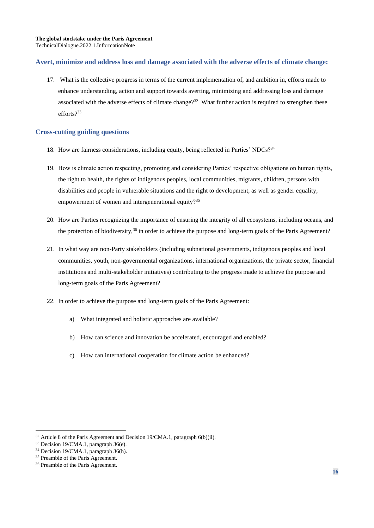#### **Avert, minimize and address loss and damage associated with the adverse effects of climate change:**

17. What is the collective progress in terms of the current implementation of, and ambition in, efforts made to enhance understanding, action and support towards averting, minimizing and addressing loss and damage associated with the adverse effects of climate change?<sup>32</sup> What further action is required to strengthen these efforts?<sup>33</sup>

#### **Cross-cutting guiding questions**

- 18. How are fairness considerations, including equity, being reflected in Parties' NDCs?<sup>34</sup>
- 19. How is climate action respecting, promoting and considering Parties' respective obligations on human rights, the right to health, the rights of indigenous peoples, local communities, migrants, children, persons with disabilities and people in vulnerable situations and the right to development, as well as gender equality, empowerment of women and intergenerational equity?<sup>35</sup>
- 20. How are Parties recognizing the importance of ensuring the integrity of all ecosystems, including oceans, and the protection of biodiversity,  $36$  in order to achieve the purpose and long-term goals of the Paris Agreement?
- 21. In what way are non-Party stakeholders (including subnational governments, indigenous peoples and local communities, youth, non-governmental organizations, international organizations, the private sector, financial institutions and multi-stakeholder initiatives) contributing to the progress made to achieve the purpose and long-term goals of the Paris Agreement?
- 22. In order to achieve the purpose and long-term goals of the Paris Agreement:
	- a) What integrated and holistic approaches are available?
	- b) How can science and innovation be accelerated, encouraged and enabled?
	- c) How can international cooperation for climate action be enhanced?

 $32$  Article 8 of the Paris Agreement and Decision 19/CMA.1, paragraph 6(b)(ii).

<sup>33</sup> Decision 19/CMA.1, paragraph 36(e).

<sup>34</sup> Decision 19/CMA.1, paragraph 36(h).

<sup>&</sup>lt;sup>35</sup> Preamble of the Paris Agreement.

<sup>&</sup>lt;sup>36</sup> Preamble of the Paris Agreement.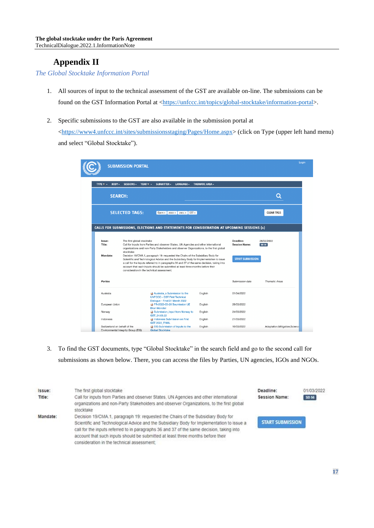# **Appendix II**

*The Global Stocktake Information Portal*

- 1. All sources of input to the technical assessment of the GST are available on-line. The submissions can be found on the GST Information Portal at [<https://unfccc.int/topics/global-stocktake/information-portal>](https://eur01.safelinks.protection.outlook.com/?url=https%3A%2F%2Funfccc.int%2Ftopics%2Fglobal-stocktake%2Finformation-portal&data=05%7C01%7CFVladu%40unfccc.int%7Cf2f4b7f014e546a50be808da23839621%7C2a6c12ad406a4f33b686f78ff5822208%7C0%7C0%7C637861345300803290%7CUnknown%7CTWFpbGZsb3d8eyJWIjoiMC4wLjAwMDAiLCJQIjoiV2luMzIiLCJBTiI6Ik1haWwiLCJXVCI6Mn0%3D%7C3000%7C%7C%7C&sdata=PttVh21h9n6oc690tPbvFn4yMUx7MQP0gcent6sWdLs%3D&reserved=0).
- 2. Specific submissions to the GST are also available in the submission portal at

[<https://www4.unfccc.int/sites/submissionsstaging/Pages/Home.aspx>](https://eur01.safelinks.protection.outlook.com/?url=https%3A%2F%2Fwww4.unfccc.int%2Fsites%2Fsubmissionsstaging%2FPages%2FHome.aspx&data=05%7C01%7CFVladu%40unfccc.int%7Cf2f4b7f014e546a50be808da23839621%7C2a6c12ad406a4f33b686f78ff5822208%7C0%7C0%7C637861345300803290%7CUnknown%7CTWFpbGZsb3d8eyJWIjoiMC4wLjAwMDAiLCJQIjoiV2luMzIiLCJBTiI6Ik1haWwiLCJXVCI6Mn0%3D%7C3000%7C%7C%7C&sdata=w9%2FjnS7Ixz2Sn%2FpzPquJOKUnlyjPUzRetpIuayZ1Yls%3D&reserved=0) (click on Type (upper left hand menu) and select "Global Stocktake").

|                               | <b>SUBMISSION PORTAL</b>                                                                                                                                                                                                                                                                                                                                                                                                                                                                                                                                                                                      |                                                                                                        |                 |                                                 |                       |
|-------------------------------|---------------------------------------------------------------------------------------------------------------------------------------------------------------------------------------------------------------------------------------------------------------------------------------------------------------------------------------------------------------------------------------------------------------------------------------------------------------------------------------------------------------------------------------------------------------------------------------------------------------|--------------------------------------------------------------------------------------------------------|-----------------|-------------------------------------------------|-----------------------|
| TYPE $\tau$ $\star$<br>BODY - | SESSIONS -<br>YEAR $\tau$ $\sim$                                                                                                                                                                                                                                                                                                                                                                                                                                                                                                                                                                              | SUBMITTER -<br>LANGUAGE -                                                                              | THEMATIC AREA - |                                                 |                       |
| <b>SEARCH:</b>                |                                                                                                                                                                                                                                                                                                                                                                                                                                                                                                                                                                                                               |                                                                                                        |                 |                                                 | O                     |
|                               | <b>SELECTED TAGS:</b>                                                                                                                                                                                                                                                                                                                                                                                                                                                                                                                                                                                         | Open $\times$   2022 $\times$   2021 $\times$<br>$GST \times$                                          |                 |                                                 | <b>CLEAR TAGS</b>     |
| Issue:                        | The first global stocktake                                                                                                                                                                                                                                                                                                                                                                                                                                                                                                                                                                                    | CALLS FOR SUBMISSIONS, ELECTIONS AND STATEMENTS FOR CONSIDERATION AT UPCOMING SESSIONS (1)             |                 | Deadline:                                       | 28/02/2022            |
| Title:<br>Mandate:            | Call for inputs from Parties and observer States, UN Agencies and other international<br>organizations and non-Party Stakeholders and observer Organizations, to the first global<br>stocktake<br>Decision 19/CMA.1, paragraph 19: requested the Chairs of the Subsidiary Body for<br>Scientific and Technological Advice and the Subsidiary Body for Implementation to issue<br>a call for the inputs referred to in paragraphs 36 and 37 of the same decision, taking into<br>account that such inputs should be submitted at least three months before their<br>consideration in the technical assessment: |                                                                                                        |                 | <b>Session Name:</b><br><b>START SUBMISSION</b> | SB 56                 |
| Parties                       |                                                                                                                                                                                                                                                                                                                                                                                                                                                                                                                                                                                                               |                                                                                                        |                 | Submission date                                 | <b>Thematic Areas</b> |
| Australia                     |                                                                                                                                                                                                                                                                                                                                                                                                                                                                                                                                                                                                               | Australia s Submission to the<br><b>UNFCCC - GST First Technical</b><br>Dialogue - Final 31 March 2022 | English         | 01/04/2022                                      |                       |
| European Union                |                                                                                                                                                                                                                                                                                                                                                                                                                                                                                                                                                                                                               | FR-2022-03-28 Soumission UE                                                                            | English         | 28/03/2022                                      |                       |
| Norway                        |                                                                                                                                                                                                                                                                                                                                                                                                                                                                                                                                                                                                               | <b>Bilan Mondial</b><br>Submission_input from Norway to<br>GST_24.03.22                                | English         | 24/03/2022                                      |                       |
| Indonesia                     |                                                                                                                                                                                                                                                                                                                                                                                                                                                                                                                                                                                                               | Indonesia Submission on First<br>GST 2022_FINAL                                                        | English         | 21/03/2022                                      |                       |
| Switzerland on behalf of the  |                                                                                                                                                                                                                                                                                                                                                                                                                                                                                                                                                                                                               | <b>BIG</b> Submission of inputs to the                                                                 | English         |                                                 |                       |

3. To find the GST documents, type "Global Stocktake" in the search field and go to the second call for submissions as shown below. There, you can access the files by Parties, UN agencies, IGOs and NGOs.

| Issue:   | The first global stocktake                                                                                                                                                                                                                                                                                                                                                                                  | Deadline:               | 01/03/2022 |
|----------|-------------------------------------------------------------------------------------------------------------------------------------------------------------------------------------------------------------------------------------------------------------------------------------------------------------------------------------------------------------------------------------------------------------|-------------------------|------------|
| Title:   | Call for inputs from Parties and observer States, UN Agencies and other international<br>organizations and non-Party Stakeholders and observer Organizations, to the first global<br>stocktake                                                                                                                                                                                                              | Session Name:           | SB 56      |
| Mandate: | Decision 19/CMA.1, paragraph 19: requested the Chairs of the Subsidiary Body for<br>Scientific and Technological Advice and the Subsidiary Body for Implementation to issue a<br>call for the inputs referred to in paragraphs 36 and 37 of the same decision, taking into<br>account that such inputs should be submitted at least three months before their<br>consideration in the technical assessment; | <b>START SUBMISSION</b> |            |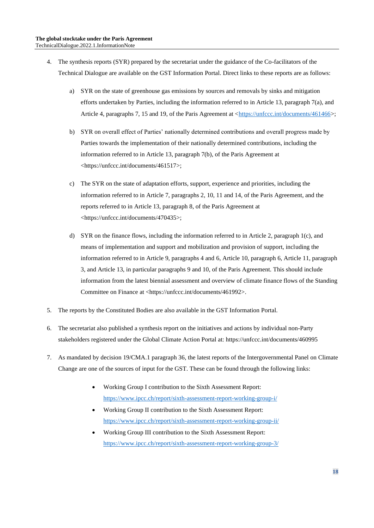- 4. The synthesis reports (SYR) prepared by the secretariat under the guidance of the Co-facilitators of the Technical Dialogue are available on the GST Information Portal. Direct links to these reports are as follows:
	- a) SYR on the state of greenhouse gas emissions by sources and removals by sinks and mitigation efforts undertaken by Parties, including the information referred to in Article 13, paragraph 7(a), and Article 4, paragraphs 7, 15 and 19, of the Paris Agreement at  $\langle \frac{\text{https://unfcc.in/documents/461466>}}{\text{?}};$
	- b) SYR on overall effect of Parties' nationally determined contributions and overall progress made by Parties towards the implementation of their nationally determined contributions, including the information referred to in Article 13, paragraph 7(b), of the Paris Agreement at [<https://unfccc.int/documents/461517>](https://eur01.safelinks.protection.outlook.com/?url=https%3A%2F%2Funfccc.int%2Fdocuments%2F461517&data=05%7C01%7CFVladu%40unfccc.int%7Cf2f4b7f014e546a50be808da23839621%7C2a6c12ad406a4f33b686f78ff5822208%7C0%7C0%7C637861345300803290%7CUnknown%7CTWFpbGZsb3d8eyJWIjoiMC4wLjAwMDAiLCJQIjoiV2luMzIiLCJBTiI6Ik1haWwiLCJXVCI6Mn0%3D%7C3000%7C%7C%7C&sdata=uxhZS%2FdlXCLDvdYkqD9VGf0K2C6OReBZAoqQaUHzSUE%3D&reserved=0);
	- c) The SYR on the state of adaptation efforts, support, experience and priorities, including the information referred to in Article 7, paragraphs 2, 10, 11 and 14, of the Paris Agreement, and the reports referred to in Article 13, paragraph 8, of the Paris Agreement at <https://unfccc.int/documents/470435>;
	- d) SYR on the finance flows, including the information referred to in Article 2, paragraph 1(c), and means of implementation and support and mobilization and provision of support, including the information referred to in Article 9, paragraphs 4 and 6, Article 10, paragraph 6, Article 11, paragraph 3, and Article 13, in particular paragraphs 9 and 10, of the Paris Agreement. This should include information from the latest biennial assessment and overview of climate finance flows of the Standing Committee on Finance at [<https://unfccc.int/documents/461992>](https://eur01.safelinks.protection.outlook.com/?url=https%3A%2F%2Funfccc.int%2Fdocuments%2F461992&data=05%7C01%7CFVladu%40unfccc.int%7Cf2f4b7f014e546a50be808da23839621%7C2a6c12ad406a4f33b686f78ff5822208%7C0%7C0%7C637861345300803290%7CUnknown%7CTWFpbGZsb3d8eyJWIjoiMC4wLjAwMDAiLCJQIjoiV2luMzIiLCJBTiI6Ik1haWwiLCJXVCI6Mn0%3D%7C3000%7C%7C%7C&sdata=4CDhmwD0TXtylGtIoCp0vcZ27JsVqviZYpLJiYlpQLM%3D&reserved=0).
- 5. The reports by the Constituted Bodies are also available in the GST Information Portal.
- 6. The secretariat also published a synthesis report on the initiatives and actions by individual non-Party stakeholders registered under the Global Climate Action Portal at: [https://unfccc.int/documents/460995](https://eur01.safelinks.protection.outlook.com/?url=https%3A%2F%2Funfccc.int%2Fdocuments%2F460995&data=05%7C01%7CFVladu%40unfccc.int%7Cf2f4b7f014e546a50be808da23839621%7C2a6c12ad406a4f33b686f78ff5822208%7C0%7C0%7C637861345300959516%7CUnknown%7CTWFpbGZsb3d8eyJWIjoiMC4wLjAwMDAiLCJQIjoiV2luMzIiLCJBTiI6Ik1haWwiLCJXVCI6Mn0%3D%7C3000%7C%7C%7C&sdata=CSRAjX3HJjzcBEpIHCX4a5bq%2BdHZ%2BsIjDVzL88oVFzQ%3D&reserved=0)
- 7. As mandated by decision 19/CMA.1 paragraph 36, the latest reports of the Intergovernmental Panel on Climate Change are one of the sources of input for the GST. These can be found through the following links:
	- Working Group I contribution to the Sixth Assessment Report: <https://www.ipcc.ch/report/sixth-assessment-report-working-group-i/>
	- Working Group II contribution to the Sixth Assessment Report: <https://www.ipcc.ch/report/sixth-assessment-report-working-group-ii/>
	- Working Group III contribution to the Sixth Assessment Report: <https://www.ipcc.ch/report/sixth-assessment-report-working-group-3/>